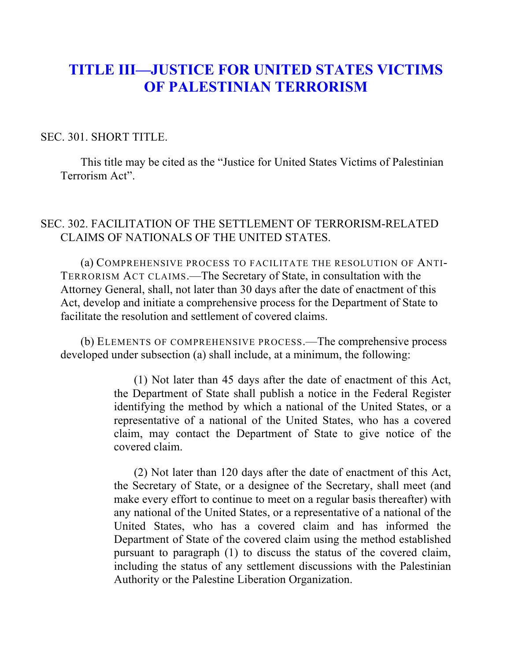## **TITLE III—JUSTICE FOR UNITED STATES VICTIMS OF PALESTINIAN TERRORISM**

## SEC. 301. SHORT TITLE.

This title may be cited as the "Justice for United States Victims of Palestinian Terrorism Act".

## SEC. 302. FACILITATION OF THE SETTLEMENT OF TERRORISM-RELATED CLAIMS OF NATIONALS OF THE UNITED STATES.

(a) COMPREHENSIVE PROCESS TO FACILITATE THE RESOLUTION OF ANTI-TERRORISM ACT CLAIMS.—The Secretary of State, in consultation with the Attorney General, shall, not later than 30 days after the date of enactment of this Act, develop and initiate a comprehensive process for the Department of State to facilitate the resolution and settlement of covered claims.

(b) ELEMENTS OF COMPREHENSIVE PROCESS.—The comprehensive process developed under subsection (a) shall include, at a minimum, the following:

> (1) Not later than 45 days after the date of enactment of this Act, the Department of State shall publish a notice in the Federal Register identifying the method by which a national of the United States, or a representative of a national of the United States, who has a covered claim, may contact the Department of State to give notice of the covered claim.

> (2) Not later than 120 days after the date of enactment of this Act, the Secretary of State, or a designee of the Secretary, shall meet (and make every effort to continue to meet on a regular basis thereafter) with any national of the United States, or a representative of a national of the United States, who has a covered claim and has informed the Department of State of the covered claim using the method established pursuant to paragraph (1) to discuss the status of the covered claim, including the status of any settlement discussions with the Palestinian Authority or the Palestine Liberation Organization.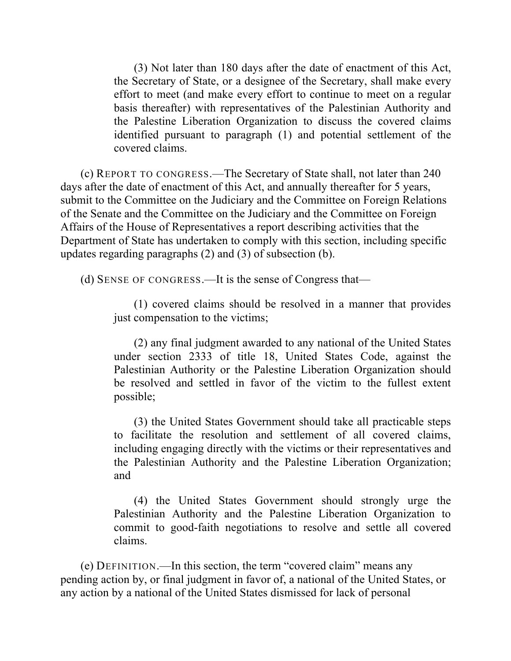(3) Not later than 180 days after the date of enactment of this Act, the Secretary of State, or a designee of the Secretary, shall make every effort to meet (and make every effort to continue to meet on a regular basis thereafter) with representatives of the Palestinian Authority and the Palestine Liberation Organization to discuss the covered claims identified pursuant to paragraph (1) and potential settlement of the covered claims.

(c) REPORT TO CONGRESS.—The Secretary of State shall, not later than 240 days after the date of enactment of this Act, and annually thereafter for 5 years, submit to the Committee on the Judiciary and the Committee on Foreign Relations of the Senate and the Committee on the Judiciary and the Committee on Foreign Affairs of the House of Representatives a report describing activities that the Department of State has undertaken to comply with this section, including specific updates regarding paragraphs (2) and (3) of subsection (b).

(d) SENSE OF CONGRESS.—It is the sense of Congress that—

(1) covered claims should be resolved in a manner that provides just compensation to the victims;

(2) any final judgment awarded to any national of the United States under section 2333 of title 18, United States Code, against the Palestinian Authority or the Palestine Liberation Organization should be resolved and settled in favor of the victim to the fullest extent possible;

(3) the United States Government should take all practicable steps to facilitate the resolution and settlement of all covered claims, including engaging directly with the victims or their representatives and the Palestinian Authority and the Palestine Liberation Organization; and

(4) the United States Government should strongly urge the Palestinian Authority and the Palestine Liberation Organization to commit to good-faith negotiations to resolve and settle all covered claims.

(e) DEFINITION.—In this section, the term "covered claim" means any pending action by, or final judgment in favor of, a national of the United States, or any action by a national of the United States dismissed for lack of personal